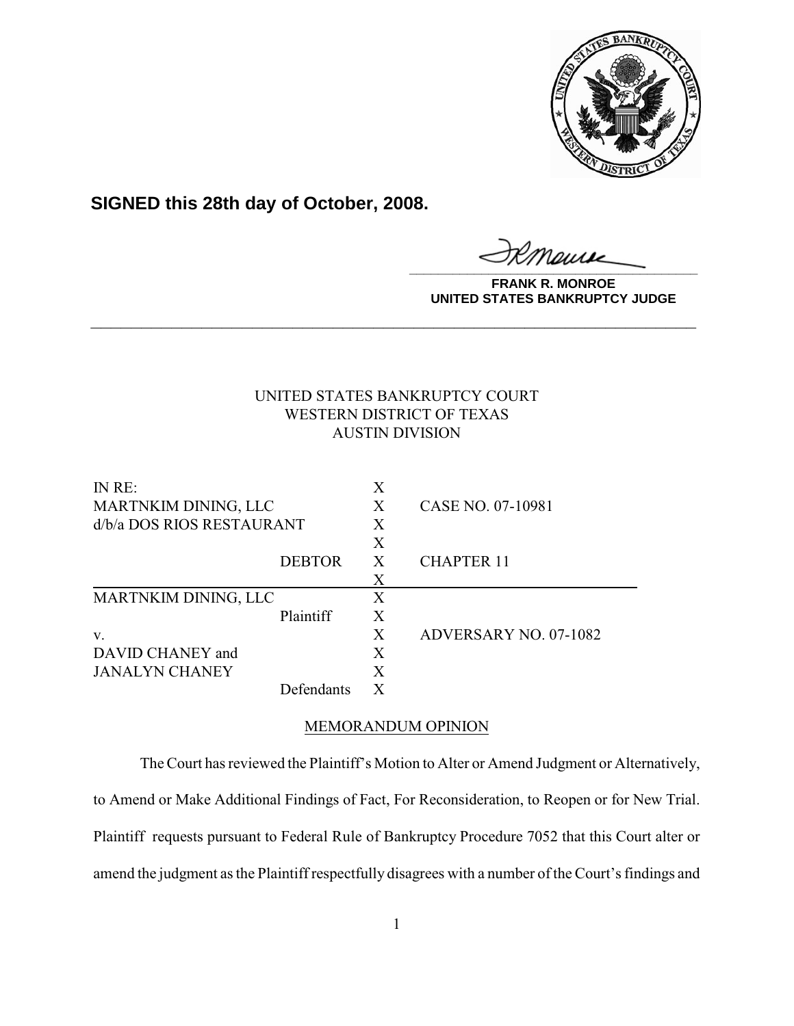

**SIGNED this 28th day of October, 2008.**

**\_\_\_\_\_\_\_\_\_\_\_\_\_\_\_\_\_\_\_\_\_\_\_\_\_\_\_\_\_\_\_\_\_\_\_\_\_\_\_\_**

**FRANK R. MONROE UNITED STATES BANKRUPTCY JUDGE**

# UNITED STATES BANKRUPTCY COURT WESTERN DISTRICT OF TEXAS AUSTIN DIVISION

**\_\_\_\_\_\_\_\_\_\_\_\_\_\_\_\_\_\_\_\_\_\_\_\_\_\_\_\_\_\_\_\_\_\_\_\_\_\_\_\_\_\_\_\_\_\_\_\_\_\_\_\_\_\_\_\_\_\_\_\_**

| IN RE:                      |               | X |                       |
|-----------------------------|---------------|---|-----------------------|
| MARTNKIM DINING, LLC        |               | X | CASE NO. 07-10981     |
| d/b/a DOS RIOS RESTAURANT   |               | X |                       |
|                             |               | X |                       |
|                             | <b>DEBTOR</b> | X | <b>CHAPTER 11</b>     |
|                             |               | Χ |                       |
| <b>MARTNKIM DINING, LLC</b> |               | X |                       |
|                             | Plaintiff     | X |                       |
| V.                          |               | X | ADVERSARY NO. 07-1082 |
| DAVID CHANEY and            |               | X |                       |
| <b>JANALYN CHANEY</b>       |               | Χ |                       |
|                             | Defendants    |   |                       |

## MEMORANDUM OPINION

The Court has reviewed the Plaintiff's Motion to Alter or Amend Judgment or Alternatively, to Amend or Make Additional Findings of Fact, For Reconsideration, to Reopen or for New Trial. Plaintiff requests pursuant to Federal Rule of Bankruptcy Procedure 7052 that this Court alter or amend the judgment as the Plaintiff respectfully disagrees with a number of the Court's findings and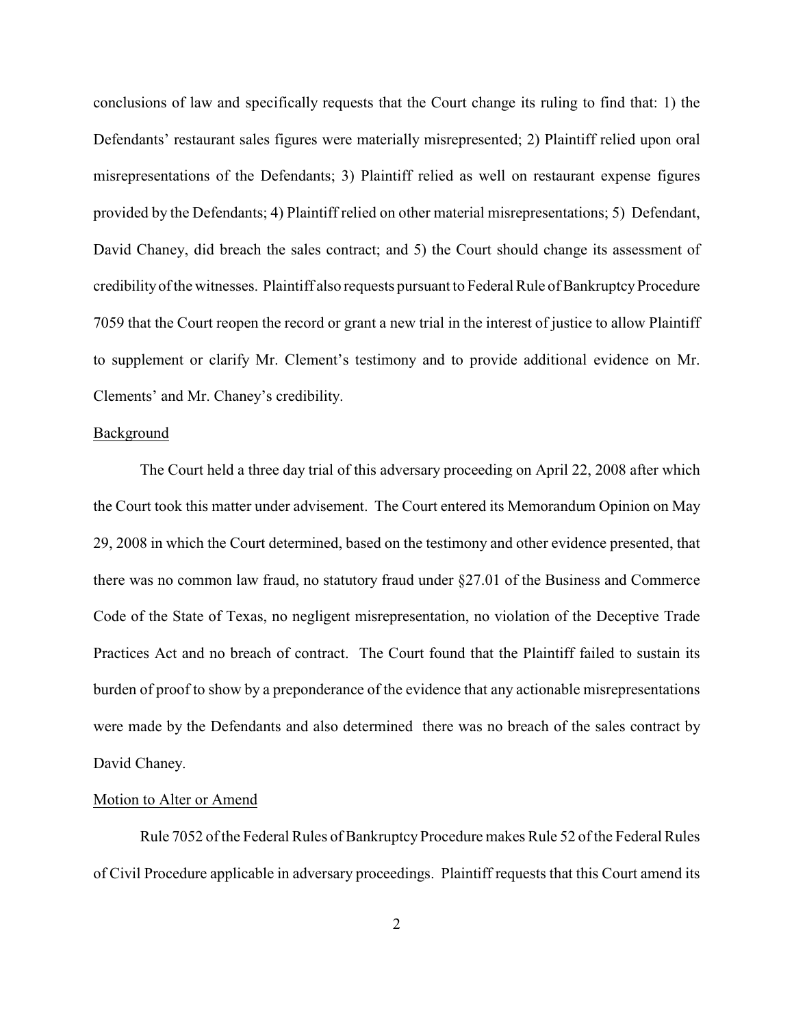conclusions of law and specifically requests that the Court change its ruling to find that: 1) the Defendants' restaurant sales figures were materially misrepresented; 2) Plaintiff relied upon oral misrepresentations of the Defendants; 3) Plaintiff relied as well on restaurant expense figures provided by the Defendants; 4) Plaintiff relied on other material misrepresentations; 5) Defendant, David Chaney, did breach the sales contract; and 5) the Court should change its assessment of credibility of the witnesses. Plaintiff also requests pursuant to Federal Rule of Bankruptcy Procedure 7059 that the Court reopen the record or grant a new trial in the interest of justice to allow Plaintiff to supplement or clarify Mr. Clement's testimony and to provide additional evidence on Mr. Clements' and Mr. Chaney's credibility.

### Background

The Court held a three day trial of this adversary proceeding on April 22, 2008 after which the Court took this matter under advisement. The Court entered its Memorandum Opinion on May 29, 2008 in which the Court determined, based on the testimony and other evidence presented, that there was no common law fraud, no statutory fraud under §27.01 of the Business and Commerce Code of the State of Texas, no negligent misrepresentation, no violation of the Deceptive Trade Practices Act and no breach of contract. The Court found that the Plaintiff failed to sustain its burden of proof to show by a preponderance of the evidence that any actionable misrepresentations were made by the Defendants and also determined there was no breach of the sales contract by David Chaney.

#### Motion to Alter or Amend

Rule 7052 of the Federal Rules of Bankruptcy Procedure makes Rule 52 of the Federal Rules of Civil Procedure applicable in adversary proceedings. Plaintiff requests that this Court amend its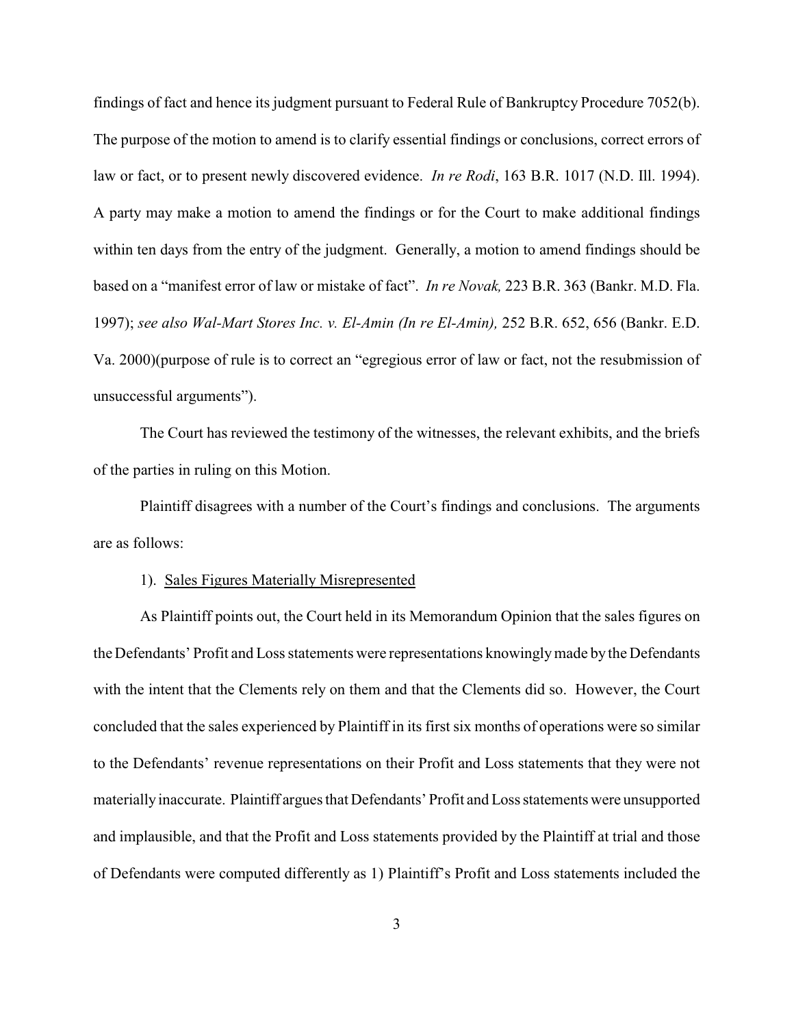findings of fact and hence its judgment pursuant to Federal Rule of Bankruptcy Procedure 7052(b). The purpose of the motion to amend is to clarify essential findings or conclusions, correct errors of law or fact, or to present newly discovered evidence. *In re Rodi*, 163 B.R. 1017 (N.D. Ill. 1994). A party may make a motion to amend the findings or for the Court to make additional findings within ten days from the entry of the judgment. Generally, a motion to amend findings should be based on a "manifest error of law or mistake of fact". *In re Novak,* 223 B.R. 363 (Bankr. M.D. Fla. 1997); *see also Wal-Mart Stores Inc. v. El-Amin (In re El-Amin),* 252 B.R. 652, 656 (Bankr. E.D. Va. 2000)(purpose of rule is to correct an "egregious error of law or fact, not the resubmission of unsuccessful arguments").

The Court has reviewed the testimony of the witnesses, the relevant exhibits, and the briefs of the parties in ruling on this Motion.

Plaintiff disagrees with a number of the Court's findings and conclusions. The arguments are as follows:

#### 1). Sales Figures Materially Misrepresented

As Plaintiff points out, the Court held in its Memorandum Opinion that the sales figures on the Defendants' Profit and Loss statements were representations knowinglymade by the Defendants with the intent that the Clements rely on them and that the Clements did so. However, the Court concluded that the sales experienced by Plaintiff in its first six months of operations were so similar to the Defendants' revenue representations on their Profit and Loss statements that they were not materially inaccurate. Plaintiff argues that Defendants' Profit and Loss statements were unsupported and implausible, and that the Profit and Loss statements provided by the Plaintiff at trial and those of Defendants were computed differently as 1) Plaintiff's Profit and Loss statements included the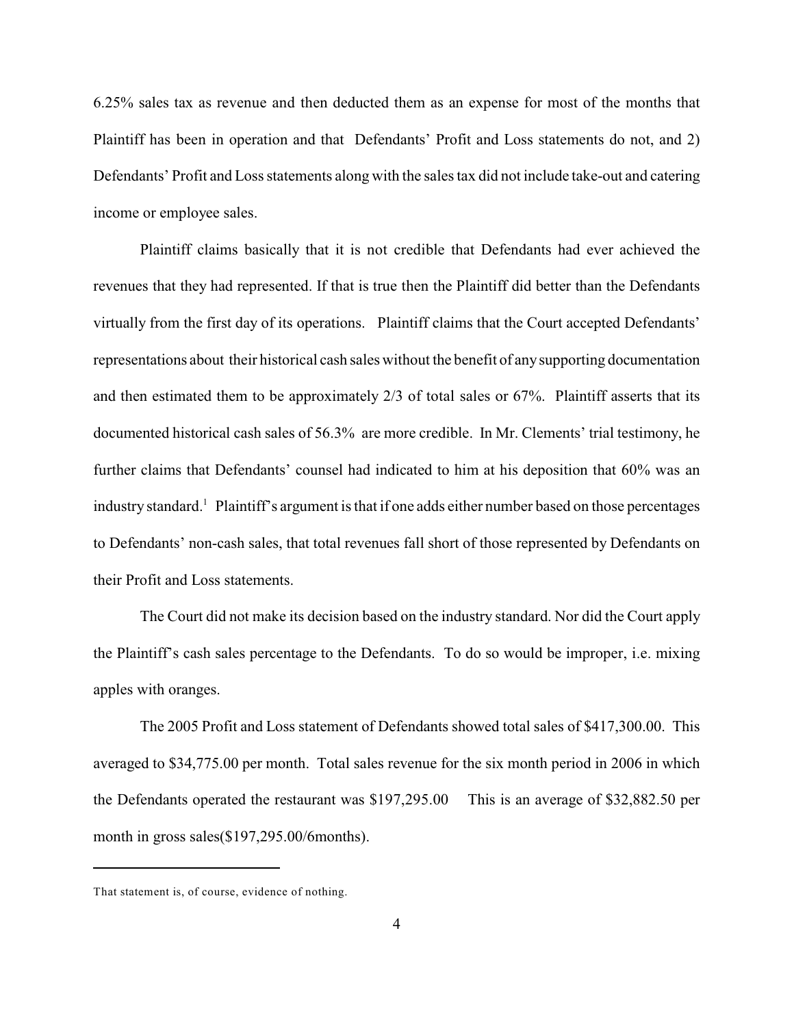6.25% sales tax as revenue and then deducted them as an expense for most of the months that Plaintiff has been in operation and that Defendants' Profit and Loss statements do not, and 2) Defendants' Profit and Loss statements along with the sales tax did not include take-out and catering income or employee sales.

Plaintiff claims basically that it is not credible that Defendants had ever achieved the revenues that they had represented. If that is true then the Plaintiff did better than the Defendants virtually from the first day of its operations. Plaintiff claims that the Court accepted Defendants' representations about their historical cash sales without the benefit of any supporting documentation and then estimated them to be approximately 2/3 of total sales or 67%. Plaintiff asserts that its documented historical cash sales of 56.3% are more credible. In Mr. Clements' trial testimony, he further claims that Defendants' counsel had indicated to him at his deposition that 60% was an industry standard.<sup>1</sup> Plaintiff's argument is that if one adds either number based on those percentages to Defendants' non-cash sales, that total revenues fall short of those represented by Defendants on their Profit and Loss statements.

The Court did not make its decision based on the industry standard. Nor did the Court apply the Plaintiff's cash sales percentage to the Defendants. To do so would be improper, i.e. mixing apples with oranges.

The 2005 Profit and Loss statement of Defendants showed total sales of \$417,300.00. This averaged to \$34,775.00 per month. Total sales revenue for the six month period in 2006 in which the Defendants operated the restaurant was \$197,295.00 This is an average of \$32,882.50 per month in gross sales(\$197,295.00/6months).

That statement is, of course, evidence of nothing.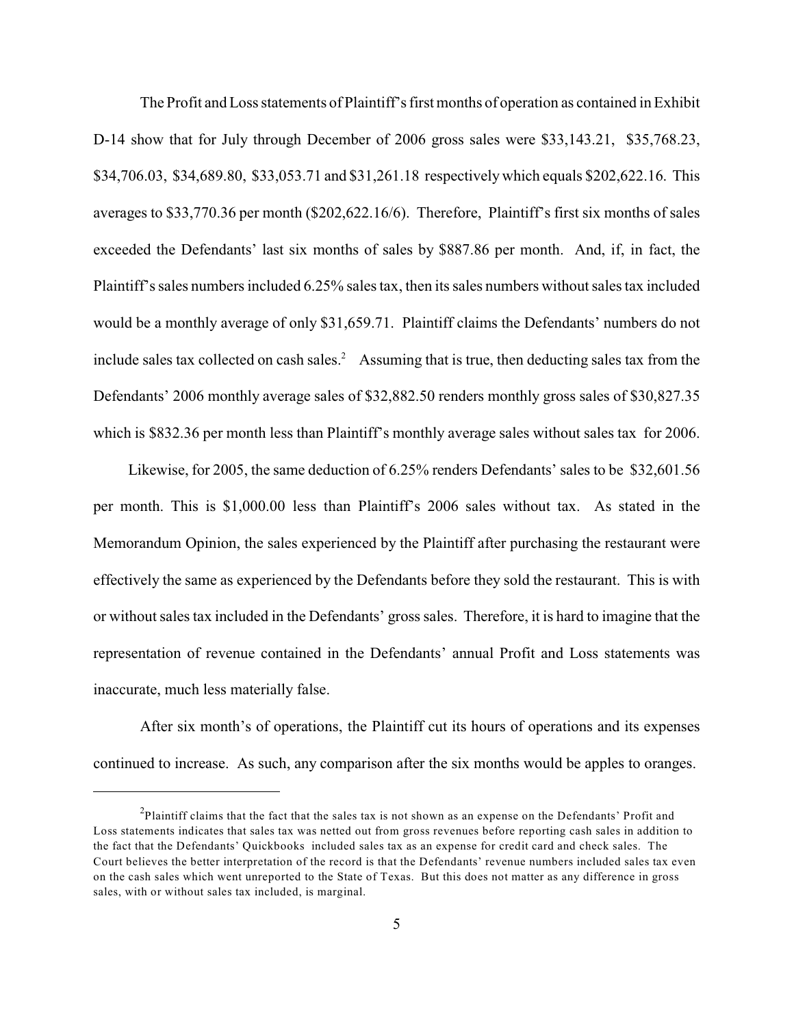The Profit and Loss statements of Plaintiff's first months of operation as contained in Exhibit D-14 show that for July through December of 2006 gross sales were \$33,143.21, \$35,768.23, \$34,706.03, \$34,689.80, \$33,053.71 and \$31,261.18 respectively which equals \$202,622.16. This averages to \$33,770.36 per month (\$202,622.16/6). Therefore, Plaintiff's first six months of sales exceeded the Defendants' last six months of sales by \$887.86 per month. And, if, in fact, the Plaintiff's sales numbers included 6.25% sales tax, then its sales numbers without sales tax included would be a monthly average of only \$31,659.71. Plaintiff claims the Defendants' numbers do not include sales tax collected on cash sales.<sup>2</sup> Assuming that is true, then deducting sales tax from the Defendants' 2006 monthly average sales of \$32,882.50 renders monthly gross sales of \$30,827.35 which is \$832.36 per month less than Plaintiff's monthly average sales without sales tax for 2006.

 Likewise, for 2005, the same deduction of 6.25% renders Defendants' sales to be \$32,601.56 per month. This is \$1,000.00 less than Plaintiff's 2006 sales without tax. As stated in the Memorandum Opinion, the sales experienced by the Plaintiff after purchasing the restaurant were effectively the same as experienced by the Defendants before they sold the restaurant. This is with or without sales tax included in the Defendants' gross sales. Therefore, it is hard to imagine that the representation of revenue contained in the Defendants' annual Profit and Loss statements was inaccurate, much less materially false.

After six month's of operations, the Plaintiff cut its hours of operations and its expenses continued to increase. As such, any comparison after the six months would be apples to oranges.

 $P$ laintiff claims that the fact that the sales tax is not shown as an expense on the Defendants' Profit and Loss statements indicates that sales tax was netted out from gross revenues before reporting cash sales in addition to the fact that the Defendants' Quickbooks included sales tax as an expense for credit card and check sales. The Court believes the better interpretation of the record is that the Defendants' revenue numbers included sales tax even on the cash sales which went unreported to the State of Texas. But this does not matter as any difference in gross sales, with or without sales tax included, is marginal.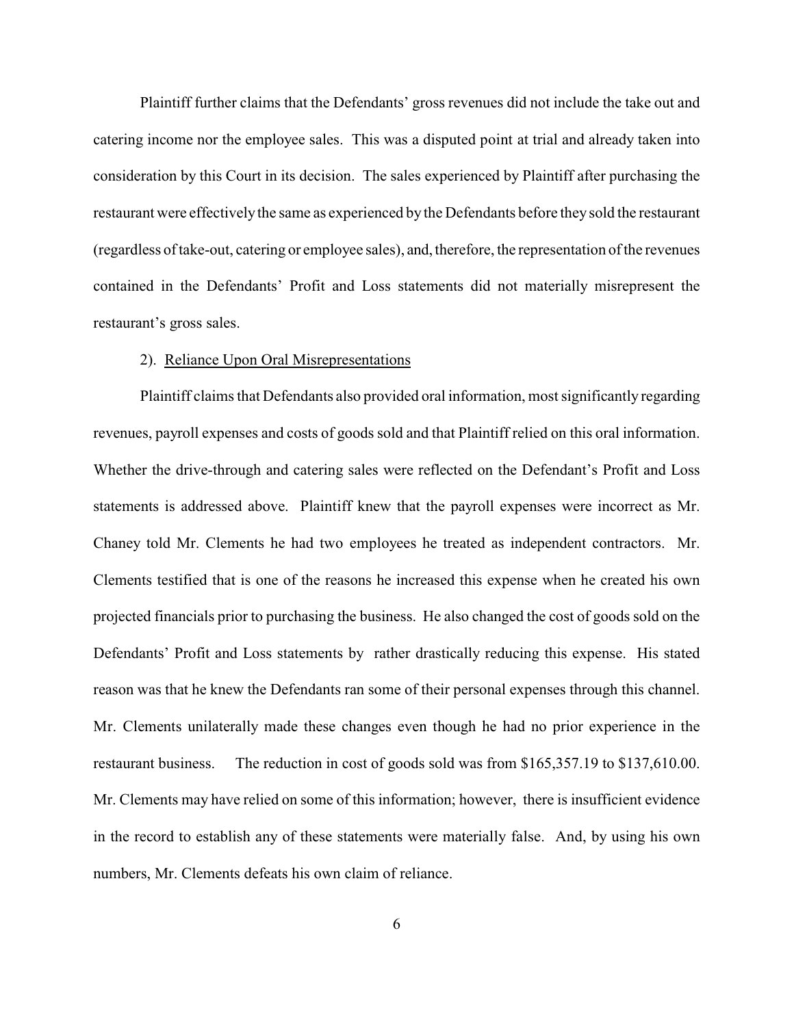Plaintiff further claims that the Defendants' gross revenues did not include the take out and catering income nor the employee sales. This was a disputed point at trial and already taken into consideration by this Court in its decision. The sales experienced by Plaintiff after purchasing the restaurant were effectivelythe same as experienced by the Defendants before they sold the restaurant (regardless of take-out, catering or employee sales), and, therefore, the representation of the revenues contained in the Defendants' Profit and Loss statements did not materially misrepresent the restaurant's gross sales.

## 2). Reliance Upon Oral Misrepresentations

Plaintiff claims that Defendants also provided oral information, most significantly regarding revenues, payroll expenses and costs of goods sold and that Plaintiff relied on this oral information. Whether the drive-through and catering sales were reflected on the Defendant's Profit and Loss statements is addressed above. Plaintiff knew that the payroll expenses were incorrect as Mr. Chaney told Mr. Clements he had two employees he treated as independent contractors. Mr. Clements testified that is one of the reasons he increased this expense when he created his own projected financials prior to purchasing the business. He also changed the cost of goods sold on the Defendants' Profit and Loss statements by rather drastically reducing this expense. His stated reason was that he knew the Defendants ran some of their personal expenses through this channel. Mr. Clements unilaterally made these changes even though he had no prior experience in the restaurant business. The reduction in cost of goods sold was from \$165,357.19 to \$137,610.00. Mr. Clements may have relied on some of this information; however, there is insufficient evidence in the record to establish any of these statements were materially false. And, by using his own numbers, Mr. Clements defeats his own claim of reliance.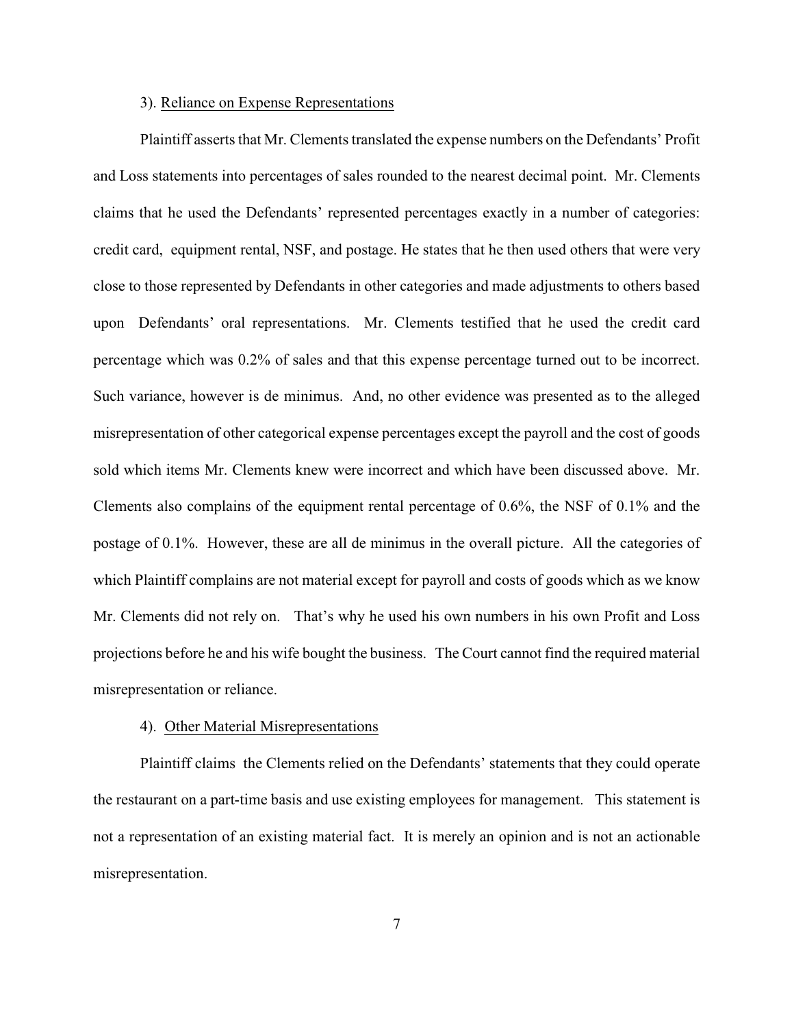## 3). Reliance on Expense Representations

Plaintiff asserts that Mr. Clements translated the expense numbers on the Defendants' Profit and Loss statements into percentages of sales rounded to the nearest decimal point. Mr. Clements claims that he used the Defendants' represented percentages exactly in a number of categories: credit card, equipment rental, NSF, and postage. He states that he then used others that were very close to those represented by Defendants in other categories and made adjustments to others based upon Defendants' oral representations. Mr. Clements testified that he used the credit card percentage which was 0.2% of sales and that this expense percentage turned out to be incorrect. Such variance, however is de minimus. And, no other evidence was presented as to the alleged misrepresentation of other categorical expense percentages except the payroll and the cost of goods sold which items Mr. Clements knew were incorrect and which have been discussed above. Mr. Clements also complains of the equipment rental percentage of 0.6%, the NSF of 0.1% and the postage of 0.1%. However, these are all de minimus in the overall picture. All the categories of which Plaintiff complains are not material except for payroll and costs of goods which as we know Mr. Clements did not rely on. That's why he used his own numbers in his own Profit and Loss projections before he and his wife bought the business. The Court cannot find the required material misrepresentation or reliance.

## 4). Other Material Misrepresentations

Plaintiff claims the Clements relied on the Defendants' statements that they could operate the restaurant on a part-time basis and use existing employees for management. This statement is not a representation of an existing material fact. It is merely an opinion and is not an actionable misrepresentation.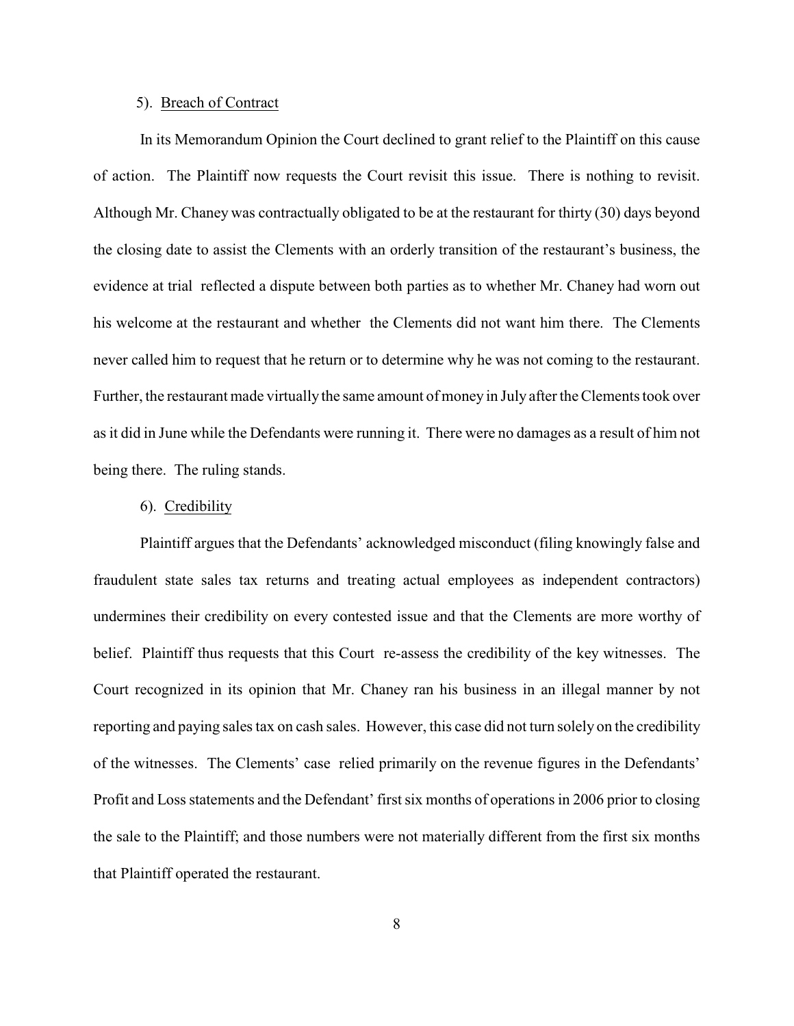#### 5). Breach of Contract

In its Memorandum Opinion the Court declined to grant relief to the Plaintiff on this cause of action. The Plaintiff now requests the Court revisit this issue. There is nothing to revisit. Although Mr. Chaney was contractually obligated to be at the restaurant for thirty (30) days beyond the closing date to assist the Clements with an orderly transition of the restaurant's business, the evidence at trial reflected a dispute between both parties as to whether Mr. Chaney had worn out his welcome at the restaurant and whether the Clements did not want him there. The Clements never called him to request that he return or to determine why he was not coming to the restaurant. Further, the restaurant made virtually the same amount of money in July after the Clements took over as it did in June while the Defendants were running it. There were no damages as a result of him not being there. The ruling stands.

### 6). Credibility

Plaintiff argues that the Defendants' acknowledged misconduct (filing knowingly false and fraudulent state sales tax returns and treating actual employees as independent contractors) undermines their credibility on every contested issue and that the Clements are more worthy of belief. Plaintiff thus requests that this Court re-assess the credibility of the key witnesses. The Court recognized in its opinion that Mr. Chaney ran his business in an illegal manner by not reporting and paying sales tax on cash sales. However, this case did not turn solely on the credibility of the witnesses. The Clements' case relied primarily on the revenue figures in the Defendants' Profit and Loss statements and the Defendant' first six months of operations in 2006 prior to closing the sale to the Plaintiff; and those numbers were not materially different from the first six months that Plaintiff operated the restaurant.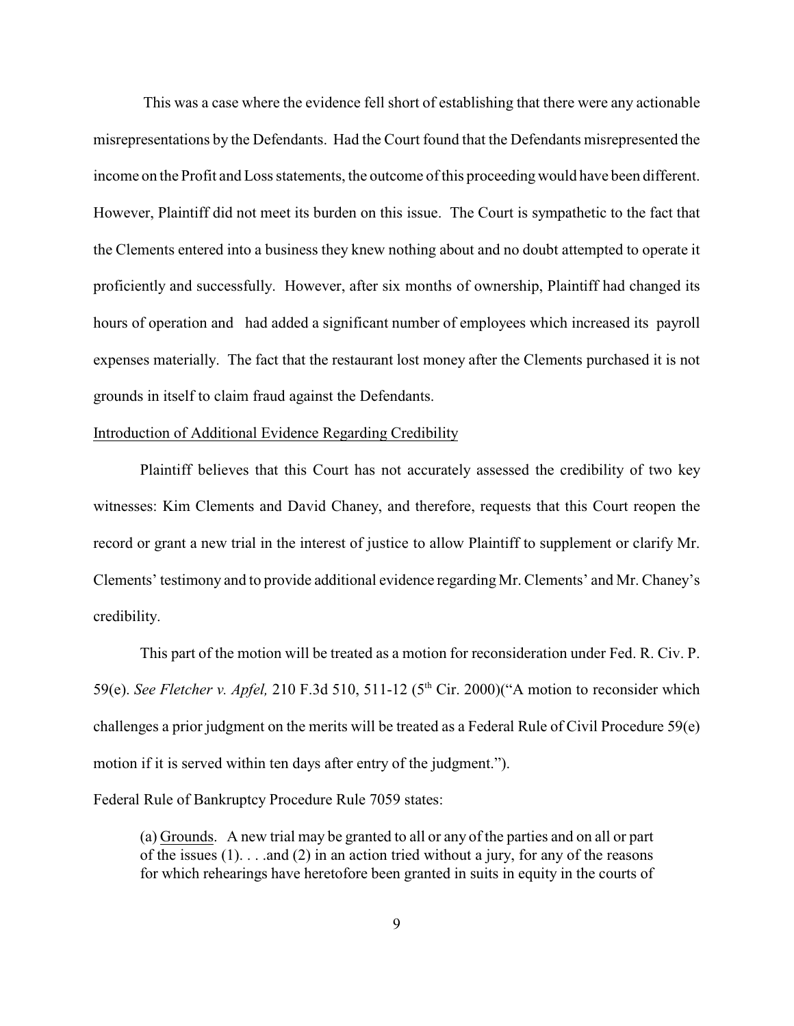This was a case where the evidence fell short of establishing that there were any actionable misrepresentations by the Defendants. Had the Court found that the Defendants misrepresented the income on the Profit and Loss statements, the outcome ofthis proceeding would have been different. However, Plaintiff did not meet its burden on this issue. The Court is sympathetic to the fact that the Clements entered into a business they knew nothing about and no doubt attempted to operate it proficiently and successfully. However, after six months of ownership, Plaintiff had changed its hours of operation and had added a significant number of employees which increased its payroll expenses materially. The fact that the restaurant lost money after the Clements purchased it is not grounds in itself to claim fraud against the Defendants.

## Introduction of Additional Evidence Regarding Credibility

Plaintiff believes that this Court has not accurately assessed the credibility of two key witnesses: Kim Clements and David Chaney, and therefore, requests that this Court reopen the record or grant a new trial in the interest of justice to allow Plaintiff to supplement or clarify Mr. Clements' testimony and to provide additional evidence regarding Mr. Clements' and Mr. Chaney's credibility.

This part of the motion will be treated as a motion for reconsideration under Fed. R. Civ. P. 59(e). *See Fletcher v. Apfel*, 210 F.3d 510, 511-12 (5<sup>th</sup> Cir. 2000)("A motion to reconsider which challenges a prior judgment on the merits will be treated as a Federal Rule of Civil Procedure 59(e) motion if it is served within ten days after entry of the judgment.").

Federal Rule of Bankruptcy Procedure Rule 7059 states:

(a) Grounds. A new trial may be granted to all or any of the parties and on all or part of the issues  $(1)$ ... and  $(2)$  in an action tried without a jury, for any of the reasons for which rehearings have heretofore been granted in suits in equity in the courts of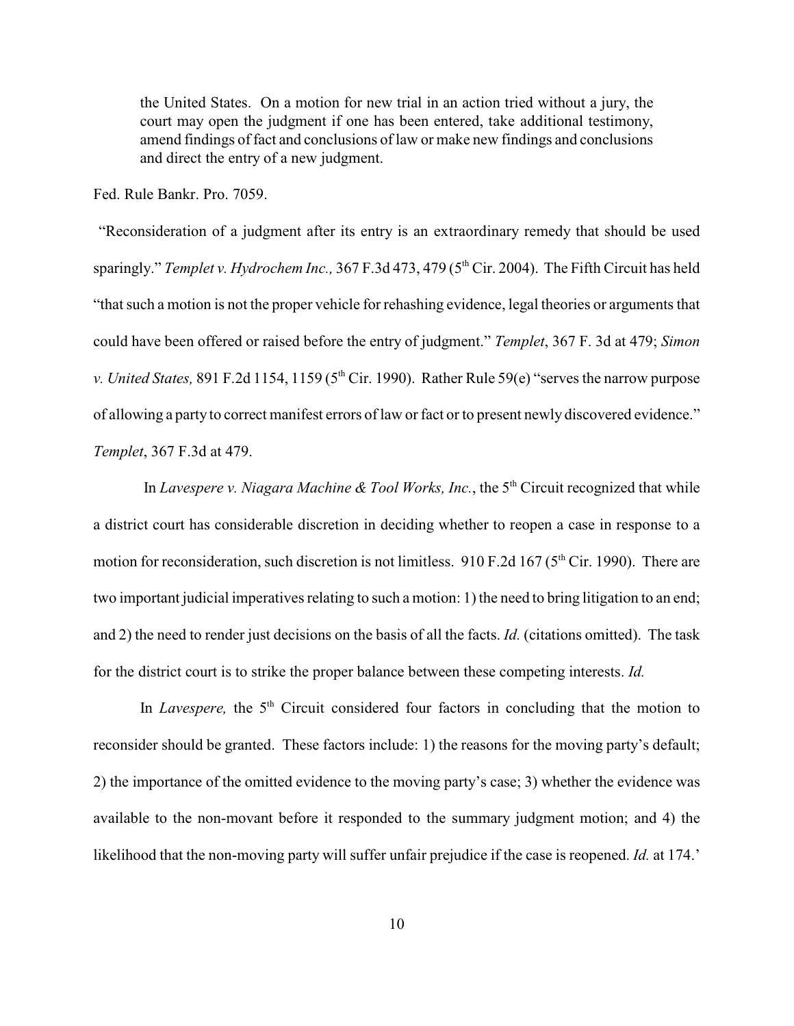the United States. On a motion for new trial in an action tried without a jury, the court may open the judgment if one has been entered, take additional testimony, amend findings of fact and conclusions of law or make new findings and conclusions and direct the entry of a new judgment.

Fed. Rule Bankr. Pro. 7059.

 "Reconsideration of a judgment after its entry is an extraordinary remedy that should be used sparingly." *Templet v. Hydrochem Inc.*, 367 F.3d 473, 479 (5<sup>th</sup> Cir. 2004). The Fifth Circuit has held "that such a motion is not the proper vehicle for rehashing evidence, legal theories or arguments that could have been offered or raised before the entry of judgment." *Templet*, 367 F. 3d at 479; *Simon v. United States,* 891 F.2d 1154, 1159 (5<sup>th</sup> Cir. 1990). Rather Rule 59(e) "serves the narrow purpose of allowing a party to correct manifest errors of law or fact or to present newly discovered evidence." *Templet*, 367 F.3d at 479.

In *Lavespere v. Niagara Machine & Tool Works, Inc.*, the 5<sup>th</sup> Circuit recognized that while a district court has considerable discretion in deciding whether to reopen a case in response to a motion for reconsideration, such discretion is not limitless. 910 F.2d 167 ( $5<sup>th</sup>$  Cir. 1990). There are two important judicial imperatives relating to such a motion: 1) the need to bring litigation to an end; and 2) the need to render just decisions on the basis of all the facts. *Id.* (citations omitted). The task for the district court is to strike the proper balance between these competing interests. *Id.* 

In *Lavespere*, the 5<sup>th</sup> Circuit considered four factors in concluding that the motion to reconsider should be granted. These factors include: 1) the reasons for the moving party's default; 2) the importance of the omitted evidence to the moving party's case; 3) whether the evidence was available to the non-movant before it responded to the summary judgment motion; and 4) the likelihood that the non-moving party will suffer unfair prejudice if the case is reopened. *Id.* at 174.'